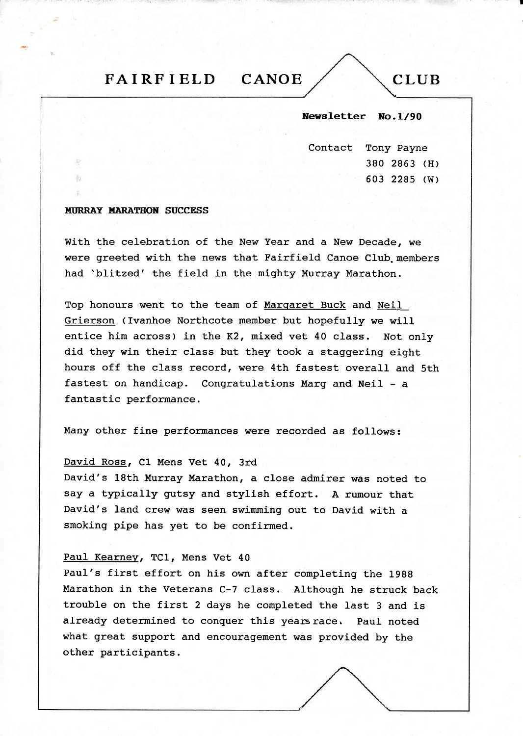# FAIRFIELD CANOE  $\angle$  CLUB

# Newsletter No.1/90

Contact Tony Payne 380 2863 (H) 503 2285 (w)

### **MURRAY MARATHON SUCCESS**

With the celebration of the New Year and a New Decade, we were greeted with the news that Fairfield Canoe Club members had 'blitzed' the field in the mighty Murray Marathon.

Top honours went to the team of Margaret Buck and Neil Grierson (Ivanhoe Northcote member but hopefully we will entice him across) in the K2, mixed vet 40 class. Not only did they win their class but they took a staggering eight hours off the class record, were 4th fastest overall and 5th fastest on handicap. Congratulations Marg and Neil - <sup>a</sup> fantastic performance.

Many other fine performances were recorded as follows:

# David Ross, C1 Mens Vet 40, 3rd

David's 18th Murray Marathon, a close admirer was noted to say a typically gutsy and stylish effort. A rumour that David's land crew was seen swimming out to David with <sup>a</sup> smoking pipe has yet to be confirmed.

# PauI Kearnev, TCl, Mens Vet <sup>40</sup>

Paul's first effort on his own after completing the 1988 Marathon in the veterans c-7 class. Although he struck back trouble on the first 2 days he completed the last 3 and is already determined to conquer this years race. Paul noted what great support and encouragement was provided by the other participants.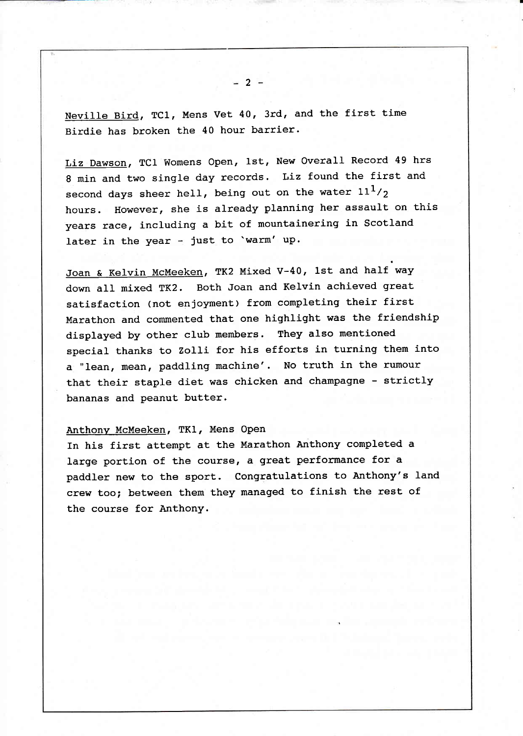Neville Bird, TCl, Mens Vet 40, 3rd, and the first time Birdie has broken the 40 hour barrier.

Liz Dawson, TCl Womens Open, lst, New Overall Record 49 hrs 8 min and two single day records. Liz found the first and second days sheer hell, being out on the water  $11<sup>1</sup>/<sub>2</sub>$ hours. However, she is already planning her assault on this years race, including a bit of mountainering in Scotland later in the year - just to 'warm' up.

Joan & Kelvin McMeeken, TK2 Mixed V-40, lst and half way down all mixed TK2. Both Joan and Kelvin achieved great satisfaction (not enjoyment) from completing their first Marathon and commented that one highlight was the friendship displayed by other club members. They also mentioned special thanks to Zolli for his efforts in turning them into a "lean, mean, paddling machine'. No truth in the rumour that their staple diet was chicken and champagne - strictly bananas and peanut butter.

# Anthony McMeeken, TKl, Mens OPen

In his first attempt at the Marathon Anthony completed <sup>a</sup> large portion of the course, a great performance for <sup>a</sup> paddler new to the sport. Congratulations to Anthony's land crew too; between them they managed to finish the rest of the course for Anthony.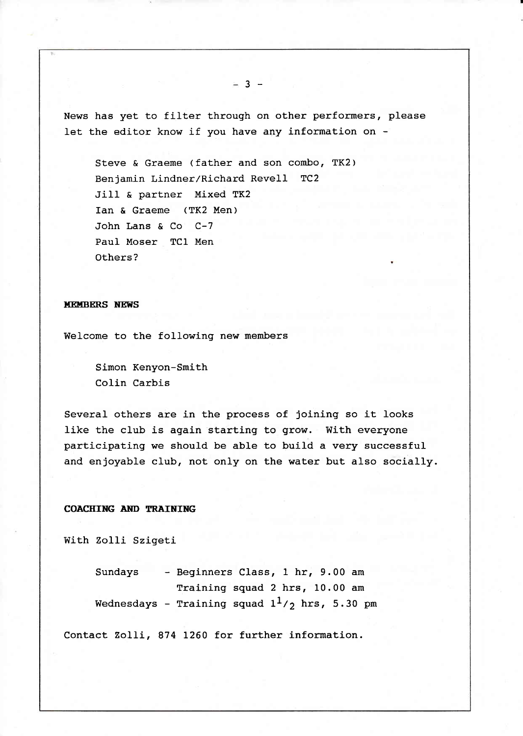News has yet to filter through on other performers, please let the editor know if you have any information on -

Steve & Graeme (father and son combo, TK2) Benjamin Lindner/Richard Revell TC2 JiIl & partner Mixed TK2 Ian & Graeme (TK2 Men) John Lans & Co C-7 Paul Moser TCl Men Others?

#### **MEMBERS NEWS**

Welcome to the following new members

Simon Kenyon-Smith Colin Carbis

Several others are in the process of joining so it looks like the club is again starting to grow. With everyone participating we should be able to build a very successful and enjoyable club, not only on the water but also socially.

# COACHING AND TRAINING

with Zolli Szigeti

Sundays - Beginners Class, t hr, 9.00 am Training squad 2 hrs, 10.00 am Wednesdays - Training squad  $1^1/\gamma$  hrs, 5.30 pm

Contact Zo1Ii, 874 L260 for further information.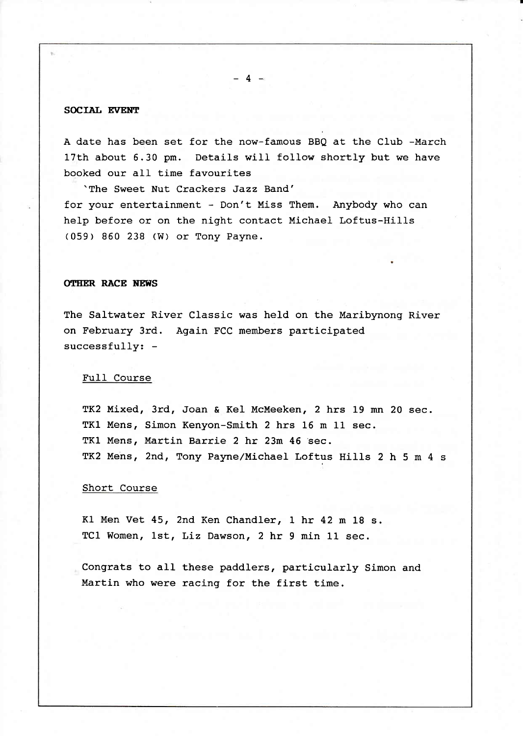# SOCIAL EVENT

A date has been set for the now-famous BBQ at the Club -March 17th about 6.30 pm. Details wiII follow shortly but we have booked our all time favourites

 $-4-$ 

'The Sweet Nut Crackers Jazz Band' for your entertainment - Don't Miss Them. Anybody who can help before or on the night contact Michael Loftus-Hills (059) 860 238 (W) or Tony Payne.

# **OTHER RACE NEWS**

The Saltwater River Classic was held on the Maribynong River on February 3rd. Again FCC members participated successfully: -

## Fu1I Course

TK2 Mixed, 3rd, Joan & Kel McMeeken, 2 hrs 19 mn 20 sec. TK1 Mens, Simon Kenyon-Smith 2 hrs 16 m 11 sec. TK1 Mens, Martin Barrie 2 hr 23m 46 'sec. TK2 Mens, 2nd, Tony Payne/Michael Loftus Hills 2 h 5 m 4 s

# Short Course

Kl Men Vet 45, 2nd Ken Chandler, 1 hr 42 m 18 s. TCl Women, 1st, Liz Dawson, 2 hr 9 min 11 sec.

Congrats to aII these paddlers, particularly Simon and Martin who were racing for the first time.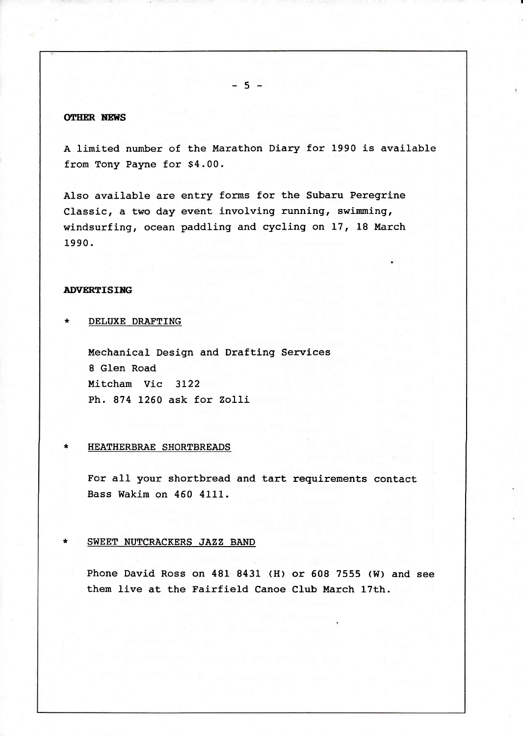# **OTHER NEWS**

A limited number of the Marathon Diary for 1990 is available from Tony Payne for 54.00.

Also available are entry forms for the Subaru Peregrine Classic, a two day event involving running, swimming, windsurfing, ocean paddling and cycling on 17, 18 March 1990.

# **ADVERTISING**

DELUXE DRAFTING

Mechanical Design and Drafting Services 8 GIen Road Mitcham Vic 3122 Ph. 874 L26O ask for Zo1li

#### **HEATHERBRAE SHORTBREADS**

For all your shortbread and tart requirements contact Bass Wakim on 460 4111.

### \* SWEET NUTCRACKERS JAZZ BAND

Phone David Ross on 481 8431 (H) or 508 7555 (W) and see them live at the Fairfield Canoe Club March 17th.